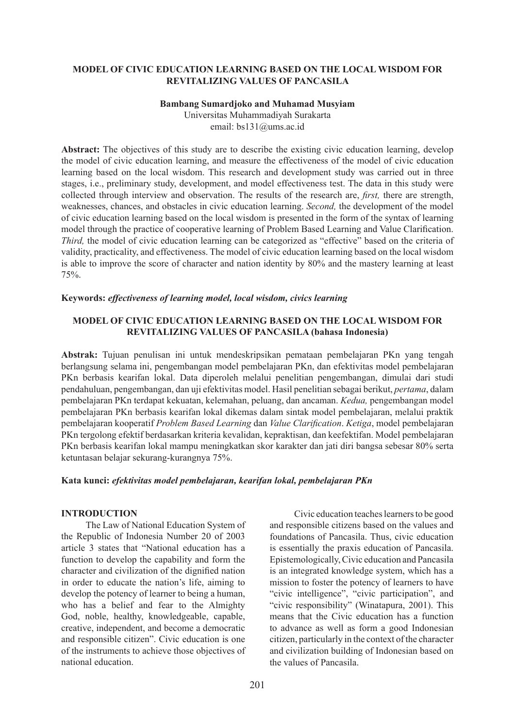### **MODEL OF CIVIC EDUCATION LEARNING BASED ON THE LOCAL WISDOM FOR REVITALIZING VALUES OF PANCASILA**

### **Bambang Sumardjoko and Muhamad Musyiam**

Universitas Muhammadiyah Surakarta email: bs131@ums.ac.id

**Abstract:** The objectives of this study are to describe the existing civic education learning, develop the model of civic education learning, and measure the effectiveness of the model of civic education learning based on the local wisdom. This research and development study was carried out in three stages, i.e., preliminary study, development, and model effectiveness test. The data in this study were collected through interview and observation. The results of the research are, *first,* there are strength, weaknesses, chances, and obstacles in civic education learning. *Second,* the development of the model of civic education learning based on the local wisdom is presented in the form of the syntax of learning model through the practice of cooperative learning of Problem Based Learning and Value Clarification. *Third*, the model of civic education learning can be categorized as "effective" based on the criteria of validity, practicality, and effectiveness. The model of civic education learning based on the local wisdom is able to improve the score of character and nation identity by 80% and the mastery learning at least 75%.

#### **Keywords:** *effectiveness of learning model, local wisdom, civics learning*

### **MODEL OF CIVIC EDUCATION LEARNING BASED ON THE LOCAL WISDOM FOR REVITALIZING VALUES OF PANCASILA (bahasa Indonesia)**

**Abstrak:** Tujuan penulisan ini untuk mendeskripsikan pemataan pembelajaran PKn yang tengah berlangsung selama ini, pengembangan model pembelajaran PKn, dan efektivitas model pembelajaran PKn berbasis kearifan lokal. Data diperoleh melalui penelitian pengembangan, dimulai dari studi pendahuluan, pengembangan, dan uji efektivitas model. Hasil penelitian sebagai berikut, *pertama*, dalam pembelajaran PKn terdapat kekuatan, kelemahan, peluang, dan ancaman. *Kedua,* pengembangan model pembelajaran PKn berbasis kearifan lokal dikemas dalam sintak model pembelajaran, melalui praktik pembelajaran kooperatif *Problem Based Learning* dan *Value Clarification*. *Ketiga*, model pembelajaran PKn tergolong efektif berdasarkan kriteria kevalidan, kepraktisan, dan keefektifan. Model pembelajaran PKn berbasis kearifan lokal mampu meningkatkan skor karakter dan jati diri bangsa sebesar 80% serta ketuntasan belajar sekurang-kurangnya 75%.

#### **Kata kunci:** *efektivitas model pembelajaran, kearifan lokal, pembelajaran PKn*

### **INTRODUCTION**

The Law of National Education System of the Republic of Indonesia Number 20 of 2003 article 3 states that "National education has a function to develop the capability and form the character and civilization of the dignified nation in order to educate the nation's life, aiming to develop the potency of learner to being a human, who has a belief and fear to the Almighty God, noble, healthy, knowledgeable, capable, creative, independent, and become a democratic and responsible citizen". Civic education is one of the instruments to achieve those objectives of national education.

Civic education teaches learners to be good and responsible citizens based on the values and foundations of Pancasila. Thus, civic education is essentially the praxis education of Pancasila. Epistemologically, Civic education and Pancasila is an integrated knowledge system, which has a mission to foster the potency of learners to have "civic intelligence", "civic participation", and "civic responsibility" (Winatapura, 2001). This means that the Civic education has a function to advance as well as form a good Indonesian citizen, particularly in the context of the character and civilization building of Indonesian based on the values of Pancasila.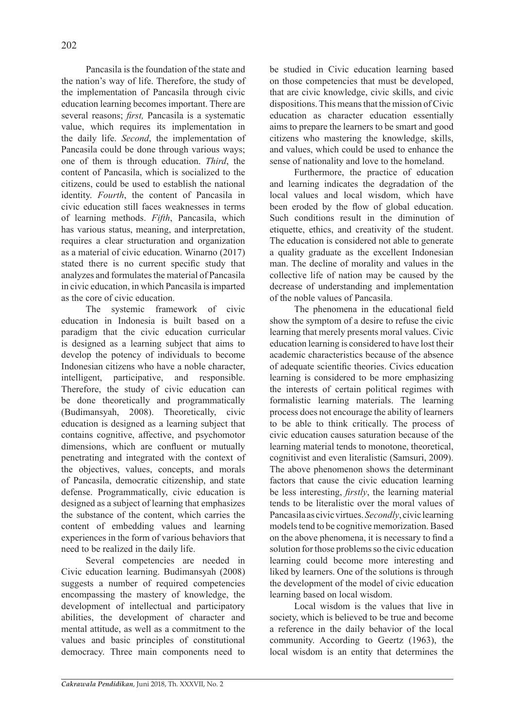Pancasila is the foundation of the state and the nation's way of life. Therefore, the study of the implementation of Pancasila through civic education learning becomes important. There are several reasons; *first,* Pancasila is a systematic value, which requires its implementation in the daily life. *Second*, the implementation of Pancasila could be done through various ways; one of them is through education. *Third*, the content of Pancasila, which is socialized to the citizens, could be used to establish the national identity. *Fourth*, the content of Pancasila in civic education still faces weaknesses in terms of learning methods. *Fifth*, Pancasila, which has various status, meaning, and interpretation, requires a clear structuration and organization as a material of civic education. Winarno (2017) stated there is no current specific study that analyzes and formulates the material of Pancasila in civic education, in which Pancasila is imparted as the core of civic education.

The systemic framework of civic education in Indonesia is built based on a paradigm that the civic education curricular is designed as a learning subject that aims to develop the potency of individuals to become Indonesian citizens who have a noble character, intelligent, participative, and responsible. Therefore, the study of civic education can be done theoretically and programmatically (Budimansyah, 2008). Theoretically, civic education is designed as a learning subject that contains cognitive, affective, and psychomotor dimensions, which are confluent or mutually penetrating and integrated with the context of the objectives, values, concepts, and morals of Pancasila, democratic citizenship, and state defense. Programmatically, civic education is designed as a subject of learning that emphasizes the substance of the content, which carries the content of embedding values and learning experiences in the form of various behaviors that need to be realized in the daily life.

Several competencies are needed in Civic education learning. Budimansyah (2008) suggests a number of required competencies encompassing the mastery of knowledge, the development of intellectual and participatory abilities, the development of character and mental attitude, as well as a commitment to the values and basic principles of constitutional democracy. Three main components need to be studied in Civic education learning based on those competencies that must be developed, that are civic knowledge, civic skills, and civic dispositions. This means that the mission of Civic education as character education essentially aims to prepare the learners to be smart and good citizens who mastering the knowledge, skills, and values, which could be used to enhance the sense of nationality and love to the homeland.

Furthermore, the practice of education and learning indicates the degradation of the local values and local wisdom, which have been eroded by the flow of global education. Such conditions result in the diminution of etiquette, ethics, and creativity of the student. The education is considered not able to generate a quality graduate as the excellent Indonesian man. The decline of morality and values in the collective life of nation may be caused by the decrease of understanding and implementation of the noble values of Pancasila.

The phenomena in the educational field show the symptom of a desire to refuse the civic learning that merely presents moral values. Civic education learning is considered to have lost their academic characteristics because of the absence of adequate scientific theories. Civics education learning is considered to be more emphasizing the interests of certain political regimes with formalistic learning materials. The learning process does not encourage the ability of learners to be able to think critically. The process of civic education causes saturation because of the learning material tends to monotone, theoretical, cognitivist and even literalistic (Samsuri, 2009). The above phenomenon shows the determinant factors that cause the civic education learning be less interesting, *firstly*, the learning material tends to be literalistic over the moral values of Pancasila as civic virtues. *Secondly*, civic learning models tend to be cognitive memorization. Based on the above phenomena, it is necessary to find a solution for those problems so the civic education learning could become more interesting and liked by learners. One of the solutions is through the development of the model of civic education learning based on local wisdom.

Local wisdom is the values that live in society, which is believed to be true and become a reference in the daily behavior of the local community. According to Geertz (1963), the local wisdom is an entity that determines the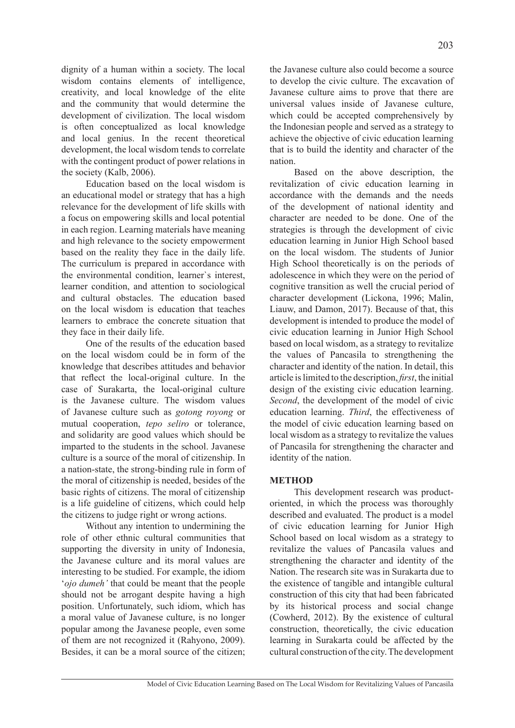dignity of a human within a society. The local wisdom contains elements of intelligence, creativity, and local knowledge of the elite and the community that would determine the development of civilization. The local wisdom is often conceptualized as local knowledge and local genius. In the recent theoretical development, the local wisdom tends to correlate with the contingent product of power relations in the society (Kalb, 2006).

Education based on the local wisdom is an educational model or strategy that has a high relevance for the development of life skills with a focus on empowering skills and local potential in each region. Learning materials have meaning and high relevance to the society empowerment based on the reality they face in the daily life. The curriculum is prepared in accordance with the environmental condition, learner`s interest, learner condition, and attention to sociological and cultural obstacles. The education based on the local wisdom is education that teaches learners to embrace the concrete situation that they face in their daily life.

One of the results of the education based on the local wisdom could be in form of the knowledge that describes attitudes and behavior that reflect the local-original culture. In the case of Surakarta, the local-original culture is the Javanese culture. The wisdom values of Javanese culture such as *gotong royong* or mutual cooperation, *tepo seliro* or tolerance, and solidarity are good values which should be imparted to the students in the school. Javanese culture is a source of the moral of citizenship. In a nation-state, the strong-binding rule in form of the moral of citizenship is needed, besides of the basic rights of citizens. The moral of citizenship is a life guideline of citizens, which could help the citizens to judge right or wrong actions.

Without any intention to undermining the role of other ethnic cultural communities that supporting the diversity in unity of Indonesia, the Javanese culture and its moral values are interesting to be studied. For example, the idiom '*ojo dumeh'* that could be meant that the people should not be arrogant despite having a high position. Unfortunately, such idiom, which has a moral value of Javanese culture, is no longer popular among the Javanese people, even some of them are not recognized it (Rahyono, 2009). Besides, it can be a moral source of the citizen; the Javanese culture also could become a source to develop the civic culture. The excavation of Javanese culture aims to prove that there are universal values inside of Javanese culture, which could be accepted comprehensively by the Indonesian people and served as a strategy to achieve the objective of civic education learning that is to build the identity and character of the nation.

Based on the above description, the revitalization of civic education learning in accordance with the demands and the needs of the development of national identity and character are needed to be done. One of the strategies is through the development of civic education learning in Junior High School based on the local wisdom. The students of Junior High School theoretically is on the periods of adolescence in which they were on the period of cognitive transition as well the crucial period of character development (Lickona, 1996; Malin, Liauw, and Damon, 2017). Because of that, this development is intended to produce the model of civic education learning in Junior High School based on local wisdom, as a strategy to revitalize the values of Pancasila to strengthening the character and identity of the nation. In detail, this article is limited to the description, *first*, the initial design of the existing civic education learning. *Second*, the development of the model of civic education learning. *Third*, the effectiveness of the model of civic education learning based on local wisdom as a strategy to revitalize the values of Pancasila for strengthening the character and identity of the nation.

### **METHOD**

This development research was productoriented, in which the process was thoroughly described and evaluated. The product is a model of civic education learning for Junior High School based on local wisdom as a strategy to revitalize the values of Pancasila values and strengthening the character and identity of the Nation. The research site was in Surakarta due to the existence of tangible and intangible cultural construction of this city that had been fabricated by its historical process and social change (Cowherd, 2012). By the existence of cultural construction, theoretically, the civic education learning in Surakarta could be affected by the cultural construction of the city. The development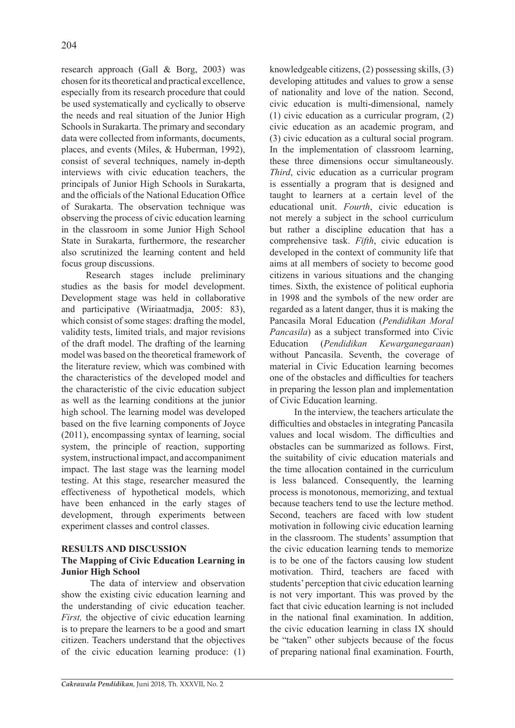research approach (Gall & Borg, 2003) was chosen for its theoretical and practical excellence, especially from its research procedure that could be used systematically and cyclically to observe the needs and real situation of the Junior High Schools in Surakarta. The primary and secondary data were collected from informants, documents, places, and events (Miles, & Huberman, 1992), consist of several techniques, namely in-depth interviews with civic education teachers, the principals of Junior High Schools in Surakarta, and the officials of the National Education Office of Surakarta. The observation technique was observing the process of civic education learning in the classroom in some Junior High School State in Surakarta, furthermore, the researcher also scrutinized the learning content and held focus group discussions.

Research stages include preliminary studies as the basis for model development. Development stage was held in collaborative and participative (Wiriaatmadja, 2005: 83), which consist of some stages: drafting the model, validity tests, limited trials, and major revisions of the draft model. The drafting of the learning model was based on the theoretical framework of the literature review, which was combined with the characteristics of the developed model and the characteristic of the civic education subject as well as the learning conditions at the junior high school. The learning model was developed based on the five learning components of Joyce (2011), encompassing syntax of learning, social system, the principle of reaction, supporting system, instructional impact, and accompaniment impact. The last stage was the learning model testing. At this stage, researcher measured the effectiveness of hypothetical models, which have been enhanced in the early stages of development, through experiments between experiment classes and control classes.

### **RESULTS AND DISCUSSION**

## **The Mapping of Civic Education Learning in Junior High School**

 The data of interview and observation show the existing civic education learning and the understanding of civic education teacher. *First*, the objective of civic education learning is to prepare the learners to be a good and smart citizen. Teachers understand that the objectives of the civic education learning produce: (1) knowledgeable citizens, (2) possessing skills, (3) developing attitudes and values to grow a sense of nationality and love of the nation. Second, civic education is multi-dimensional, namely (1) civic education as a curricular program, (2) civic education as an academic program, and (3) civic education as a cultural social program. In the implementation of classroom learning, these three dimensions occur simultaneously. *Third*, civic education as a curricular program is essentially a program that is designed and taught to learners at a certain level of the educational unit. *Fourth*, civic education is not merely a subject in the school curriculum but rather a discipline education that has a comprehensive task. *Fifth*, civic education is developed in the context of community life that aims at all members of society to become good citizens in various situations and the changing times. Sixth, the existence of political euphoria in 1998 and the symbols of the new order are regarded as a latent danger, thus it is making the Pancasila Moral Education (*Pendidikan Moral Pancasila*) as a subject transformed into Civic Education (*Pendidikan Kewarganegaraan*) without Pancasila. Seventh, the coverage of material in Civic Education learning becomes one of the obstacles and difficulties for teachers in preparing the lesson plan and implementation of Civic Education learning.

In the interview, the teachers articulate the difficulties and obstacles in integrating Pancasila values and local wisdom. The difficulties and obstacles can be summarized as follows. First, the suitability of civic education materials and the time allocation contained in the curriculum is less balanced. Consequently, the learning process is monotonous, memorizing, and textual because teachers tend to use the lecture method. Second, teachers are faced with low student motivation in following civic education learning in the classroom. The students' assumption that the civic education learning tends to memorize is to be one of the factors causing low student motivation. Third, teachers are faced with students' perception that civic education learning is not very important. This was proved by the fact that civic education learning is not included in the national final examination. In addition, the civic education learning in class IX should be "taken" other subjects because of the focus of preparing national final examination. Fourth,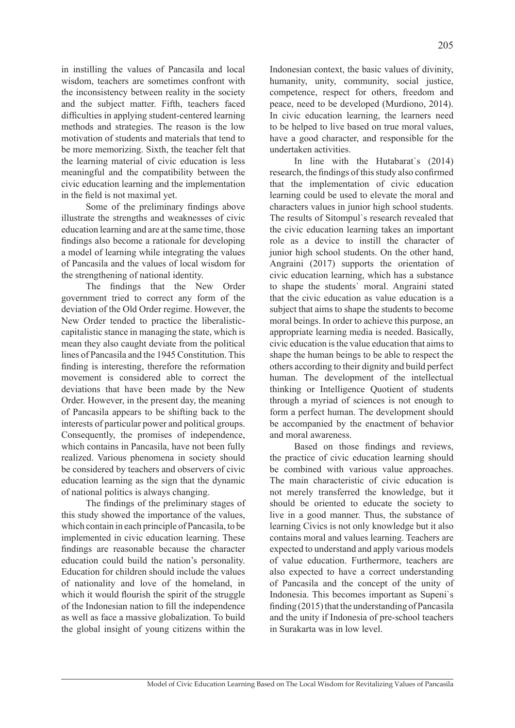in instilling the values of Pancasila and local wisdom, teachers are sometimes confront with the inconsistency between reality in the society and the subject matter. Fifth, teachers faced difficulties in applying student-centered learning methods and strategies. The reason is the low motivation of students and materials that tend to be more memorizing. Sixth, the teacher felt that the learning material of civic education is less meaningful and the compatibility between the civic education learning and the implementation in the field is not maximal yet.

Some of the preliminary findings above illustrate the strengths and weaknesses of civic education learning and are at the same time, those findings also become a rationale for developing a model of learning while integrating the values of Pancasila and the values of local wisdom for the strengthening of national identity.

The findings that the New Order government tried to correct any form of the deviation of the Old Order regime. However, the New Order tended to practice the liberalisticcapitalistic stance in managing the state, which is mean they also caught deviate from the political lines of Pancasila and the 1945 Constitution. This finding is interesting, therefore the reformation movement is considered able to correct the deviations that have been made by the New Order. However, in the present day, the meaning of Pancasila appears to be shifting back to the interests of particular power and political groups. Consequently, the promises of independence, which contains in Pancasila, have not been fully realized. Various phenomena in society should be considered by teachers and observers of civic education learning as the sign that the dynamic of national politics is always changing.

The findings of the preliminary stages of this study showed the importance of the values, which contain in each principle of Pancasila, to be implemented in civic education learning. These findings are reasonable because the character education could build the nation's personality. Education for children should include the values of nationality and love of the homeland, in which it would flourish the spirit of the struggle of the Indonesian nation to fill the independence as well as face a massive globalization. To build the global insight of young citizens within the

Indonesian context, the basic values of divinity, humanity, unity, community, social justice, competence, respect for others, freedom and peace, need to be developed (Murdiono, 2014). In civic education learning, the learners need to be helped to live based on true moral values, have a good character, and responsible for the undertaken activities.

In line with the Hutabarat`s (2014) research, the findings of this study also confirmed that the implementation of civic education learning could be used to elevate the moral and characters values in junior high school students. The results of Sitompul`s research revealed that the civic education learning takes an important role as a device to instill the character of junior high school students. On the other hand, Angraini (2017) supports the orientation of civic education learning, which has a substance to shape the students` moral. Angraini stated that the civic education as value education is a subject that aims to shape the students to become moral beings. In order to achieve this purpose, an appropriate learning media is needed. Basically, civic education is the value education that aims to shape the human beings to be able to respect the others according to their dignity and build perfect human. The development of the intellectual thinking or Intelligence Quotient of students through a myriad of sciences is not enough to form a perfect human. The development should be accompanied by the enactment of behavior and moral awareness.

Based on those findings and reviews, the practice of civic education learning should be combined with various value approaches. The main characteristic of civic education is not merely transferred the knowledge, but it should be oriented to educate the society to live in a good manner. Thus, the substance of learning Civics is not only knowledge but it also contains moral and values learning. Teachers are expected to understand and apply various models of value education. Furthermore, teachers are also expected to have a correct understanding of Pancasila and the concept of the unity of Indonesia. This becomes important as Supeni`s finding (2015) that the understanding of Pancasila and the unity if Indonesia of pre-school teachers in Surakarta was in low level.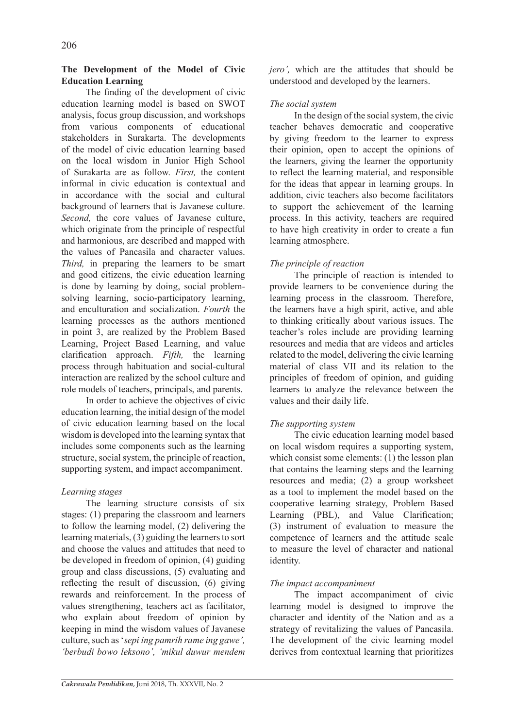## **The Development of the Model of Civic Education Learning**

The finding of the development of civic education learning model is based on SWOT analysis, focus group discussion, and workshops from various components of educational stakeholders in Surakarta. The developments of the model of civic education learning based on the local wisdom in Junior High School of Surakarta are as follow. *First,* the content informal in civic education is contextual and in accordance with the social and cultural background of learners that is Javanese culture. *Second,* the core values of Javanese culture, which originate from the principle of respectful and harmonious, are described and mapped with the values of Pancasila and character values. *Third,* in preparing the learners to be smart and good citizens, the civic education learning is done by learning by doing, social problemsolving learning, socio-participatory learning, and enculturation and socialization. *Fourth* the learning processes as the authors mentioned in point 3, are realized by the Problem Based Learning, Project Based Learning, and value clarification approach. *Fifth,* the learning process through habituation and social-cultural interaction are realized by the school culture and role models of teachers, principals, and parents.

In order to achieve the objectives of civic education learning, the initial design of the model of civic education learning based on the local wisdom is developed into the learning syntax that includes some components such as the learning structure, social system, the principle of reaction, supporting system, and impact accompaniment.

# *Learning stages*

The learning structure consists of six stages: (1) preparing the classroom and learners to follow the learning model, (2) delivering the learning materials, (3) guiding the learners to sort and choose the values and attitudes that need to be developed in freedom of opinion, (4) guiding group and class discussions, (5) evaluating and reflecting the result of discussion, (6) giving rewards and reinforcement. In the process of values strengthening, teachers act as facilitator, who explain about freedom of opinion by keeping in mind the wisdom values of Javanese culture, such as '*sepi ing pamrih rame ing gawe', 'berbudi bowo leksono', 'mikul duwur mendem*  *jero',* which are the attitudes that should be understood and developed by the learners.

## *The social system*

In the design of the social system, the civic teacher behaves democratic and cooperative by giving freedom to the learner to express their opinion, open to accept the opinions of the learners, giving the learner the opportunity to reflect the learning material, and responsible for the ideas that appear in learning groups. In addition, civic teachers also become facilitators to support the achievement of the learning process. In this activity, teachers are required to have high creativity in order to create a fun learning atmosphere.

# *The principle of reaction*

The principle of reaction is intended to provide learners to be convenience during the learning process in the classroom. Therefore, the learners have a high spirit, active, and able to thinking critically about various issues. The teacher's roles include are providing learning resources and media that are videos and articles related to the model, delivering the civic learning material of class VII and its relation to the principles of freedom of opinion, and guiding learners to analyze the relevance between the values and their daily life.

# *The supporting system*

The civic education learning model based on local wisdom requires a supporting system, which consist some elements: (1) the lesson plan that contains the learning steps and the learning resources and media; (2) a group worksheet as a tool to implement the model based on the cooperative learning strategy, Problem Based Learning (PBL), and Value Clarification; (3) instrument of evaluation to measure the competence of learners and the attitude scale to measure the level of character and national identity.

# *The impact accompaniment*

The impact accompaniment of civic learning model is designed to improve the character and identity of the Nation and as a strategy of revitalizing the values of Pancasila. The development of the civic learning model derives from contextual learning that prioritizes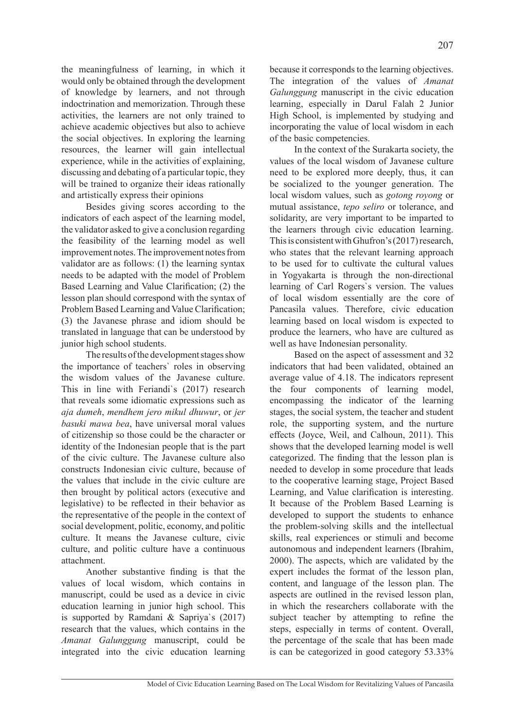the meaningfulness of learning, in which it would only be obtained through the development of knowledge by learners, and not through indoctrination and memorization. Through these activities, the learners are not only trained to achieve academic objectives but also to achieve the social objectives. In exploring the learning resources, the learner will gain intellectual experience, while in the activities of explaining, discussing and debating of a particular topic, they will be trained to organize their ideas rationally and artistically express their opinions

Besides giving scores according to the indicators of each aspect of the learning model, the validator asked to give a conclusion regarding the feasibility of the learning model as well improvement notes. The improvement notes from validator are as follows: (1) the learning syntax needs to be adapted with the model of Problem Based Learning and Value Clarification; (2) the lesson plan should correspond with the syntax of Problem Based Learning and Value Clarification; (3) the Javanese phrase and idiom should be translated in language that can be understood by junior high school students.

The results of the development stages show the importance of teachers` roles in observing the wisdom values of the Javanese culture. This in line with Feriandi`s (2017) research that reveals some idiomatic expressions such as *aja dumeh*, *mendhem jero mikul dhuwur*, or *jer basuki mawa bea*, have universal moral values of citizenship so those could be the character or identity of the Indonesian people that is the part of the civic culture. The Javanese culture also constructs Indonesian civic culture, because of the values that include in the civic culture are then brought by political actors (executive and legislative) to be reflected in their behavior as the representative of the people in the context of social development, politic, economy, and politic culture. It means the Javanese culture, civic culture, and politic culture have a continuous attachment.

Another substantive finding is that the values of local wisdom, which contains in manuscript, could be used as a device in civic education learning in junior high school. This is supported by Ramdani & Sapriya`s (2017) research that the values, which contains in the *Amanat Galunggung* manuscript, could be integrated into the civic education learning because it corresponds to the learning objectives. The integration of the values of *Amanat Galunggung* manuscript in the civic education learning, especially in Darul Falah 2 Junior High School, is implemented by studying and incorporating the value of local wisdom in each of the basic competencies.

In the context of the Surakarta society, the values of the local wisdom of Javanese culture need to be explored more deeply, thus, it can be socialized to the younger generation. The local wisdom values, such as *gotong royong* or mutual assistance, *tepo seliro* or tolerance, and solidarity, are very important to be imparted to the learners through civic education learning. This is consistent with Ghufron's (2017) research, who states that the relevant learning approach to be used for to cultivate the cultural values in Yogyakarta is through the non-directional learning of Carl Rogers`s version. The values of local wisdom essentially are the core of Pancasila values. Therefore, civic education learning based on local wisdom is expected to produce the learners, who have are cultured as well as have Indonesian personality.

Based on the aspect of assessment and 32 indicators that had been validated, obtained an average value of 4.18. The indicators represent the four components of learning model, encompassing the indicator of the learning stages, the social system, the teacher and student role, the supporting system, and the nurture effects (Joyce, Weil, and Calhoun, 2011). This shows that the developed learning model is well categorized. The finding that the lesson plan is needed to develop in some procedure that leads to the cooperative learning stage, Project Based Learning, and Value clarification is interesting. It because of the Problem Based Learning is developed to support the students to enhance the problem-solving skills and the intellectual skills, real experiences or stimuli and become autonomous and independent learners (Ibrahim, 2000). The aspects, which are validated by the expert includes the format of the lesson plan, content, and language of the lesson plan. The aspects are outlined in the revised lesson plan, in which the researchers collaborate with the subject teacher by attempting to refine the steps, especially in terms of content. Overall, the percentage of the scale that has been made is can be categorized in good category 53.33%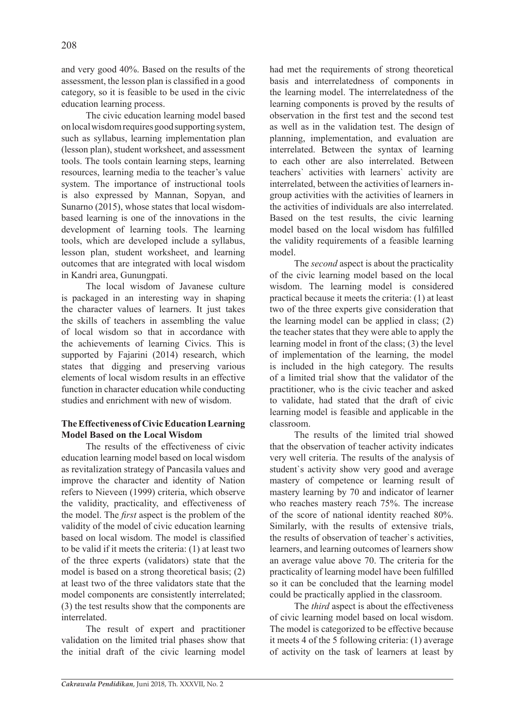and very good 40%. Based on the results of the assessment, the lesson plan is classified in a good category, so it is feasible to be used in the civic education learning process.

The civic education learning model based on local wisdom requires good supporting system, such as syllabus, learning implementation plan (lesson plan), student worksheet, and assessment tools. The tools contain learning steps, learning resources, learning media to the teacher's value system. The importance of instructional tools is also expressed by Mannan, Sopyan, and Sunarno (2015), whose states that local wisdombased learning is one of the innovations in the development of learning tools. The learning tools, which are developed include a syllabus, lesson plan, student worksheet, and learning outcomes that are integrated with local wisdom in Kandri area, Gunungpati.

The local wisdom of Javanese culture is packaged in an interesting way in shaping the character values of learners. It just takes the skills of teachers in assembling the value of local wisdom so that in accordance with the achievements of learning Civics. This is supported by Fajarini (2014) research, which states that digging and preserving various elements of local wisdom results in an effective function in character education while conducting studies and enrichment with new of wisdom.

## **The Effectiveness of Civic Education Learning Model Based on the Local Wisdom**

The results of the effectiveness of civic education learning model based on local wisdom as revitalization strategy of Pancasila values and improve the character and identity of Nation refers to Nieveen (1999) criteria, which observe the validity, practicality, and effectiveness of the model. The *first* aspect is the problem of the validity of the model of civic education learning based on local wisdom. The model is classified to be valid if it meets the criteria: (1) at least two of the three experts (validators) state that the model is based on a strong theoretical basis; (2) at least two of the three validators state that the model components are consistently interrelated; (3) the test results show that the components are interrelated.

The result of expert and practitioner validation on the limited trial phases show that the initial draft of the civic learning model

had met the requirements of strong theoretical basis and interrelatedness of components in the learning model. The interrelatedness of the learning components is proved by the results of observation in the first test and the second test as well as in the validation test. The design of planning, implementation, and evaluation are interrelated. Between the syntax of learning to each other are also interrelated. Between teachers` activities with learners` activity are interrelated, between the activities of learners ingroup activities with the activities of learners in the activities of individuals are also interrelated. Based on the test results, the civic learning model based on the local wisdom has fulfilled the validity requirements of a feasible learning model.

The *second* aspect is about the practicality of the civic learning model based on the local wisdom. The learning model is considered practical because it meets the criteria: (1) at least two of the three experts give consideration that the learning model can be applied in class; (2) the teacher states that they were able to apply the learning model in front of the class; (3) the level of implementation of the learning, the model is included in the high category. The results of a limited trial show that the validator of the practitioner, who is the civic teacher and asked to validate, had stated that the draft of civic learning model is feasible and applicable in the classroom.

The results of the limited trial showed that the observation of teacher activity indicates very well criteria. The results of the analysis of student`s activity show very good and average mastery of competence or learning result of mastery learning by 70 and indicator of learner who reaches mastery reach 75%. The increase of the score of national identity reached 80%. Similarly, with the results of extensive trials, the results of observation of teacher`s activities, learners, and learning outcomes of learners show an average value above 70. The criteria for the practicality of learning model have been fulfilled so it can be concluded that the learning model could be practically applied in the classroom.

The *third* aspect is about the effectiveness of civic learning model based on local wisdom. The model is categorized to be effective because it meets 4 of the 5 following criteria: (1) average of activity on the task of learners at least by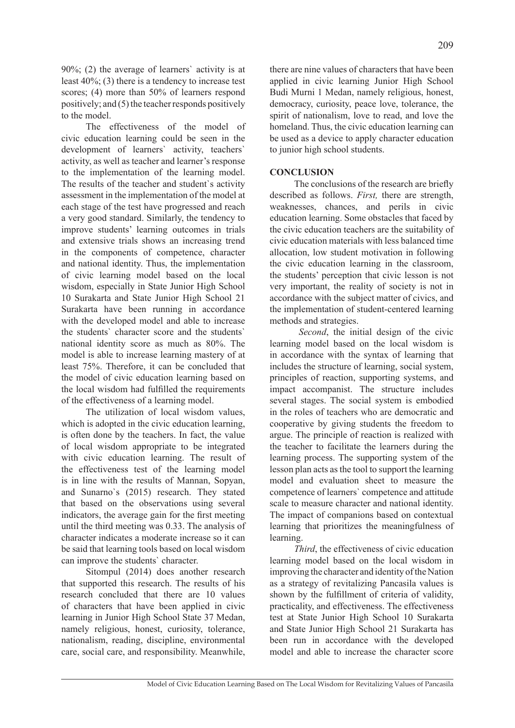90%; (2) the average of learners` activity is at least 40%; (3) there is a tendency to increase test scores; (4) more than 50% of learners respond positively; and (5) the teacher responds positively to the model.

The effectiveness of the model of civic education learning could be seen in the development of learners` activity, teachers` activity, as well as teacher and learner's response to the implementation of the learning model. The results of the teacher and student`s activity assessment in the implementation of the model at each stage of the test have progressed and reach a very good standard. Similarly, the tendency to improve students' learning outcomes in trials and extensive trials shows an increasing trend in the components of competence, character and national identity. Thus, the implementation of civic learning model based on the local wisdom, especially in State Junior High School 10 Surakarta and State Junior High School 21 Surakarta have been running in accordance with the developed model and able to increase the students` character score and the students` national identity score as much as 80%. The model is able to increase learning mastery of at least 75%. Therefore, it can be concluded that the model of civic education learning based on the local wisdom had fulfilled the requirements of the effectiveness of a learning model.

The utilization of local wisdom values, which is adopted in the civic education learning, is often done by the teachers. In fact, the value of local wisdom appropriate to be integrated with civic education learning. The result of the effectiveness test of the learning model is in line with the results of Mannan, Sopyan, and Sunarno`s (2015) research. They stated that based on the observations using several indicators, the average gain for the first meeting until the third meeting was 0.33. The analysis of character indicates a moderate increase so it can be said that learning tools based on local wisdom can improve the students` character.

Sitompul (2014) does another research that supported this research. The results of his research concluded that there are 10 values of characters that have been applied in civic learning in Junior High School State 37 Medan, namely religious, honest, curiosity, tolerance, nationalism, reading, discipline, environmental care, social care, and responsibility. Meanwhile, there are nine values of characters that have been applied in civic learning Junior High School Budi Murni 1 Medan, namely religious, honest, democracy, curiosity, peace love, tolerance, the spirit of nationalism, love to read, and love the homeland. Thus, the civic education learning can be used as a device to apply character education to junior high school students.

#### **CONCLUSION**

The conclusions of the research are briefly described as follows. *First,* there are strength, weaknesses, chances, and perils in civic education learning. Some obstacles that faced by the civic education teachers are the suitability of civic education materials with less balanced time allocation, low student motivation in following the civic education learning in the classroom, the students' perception that civic lesson is not very important, the reality of society is not in accordance with the subject matter of civics, and the implementation of student-centered learning methods and strategies.

*Second*, the initial design of the civic learning model based on the local wisdom is in accordance with the syntax of learning that includes the structure of learning, social system, principles of reaction, supporting systems, and impact accompanist. The structure includes several stages. The social system is embodied in the roles of teachers who are democratic and cooperative by giving students the freedom to argue. The principle of reaction is realized with the teacher to facilitate the learners during the learning process. The supporting system of the lesson plan acts as the tool to support the learning model and evaluation sheet to measure the competence of learners` competence and attitude scale to measure character and national identity. The impact of companions based on contextual learning that prioritizes the meaningfulness of learning.

*Third*, the effectiveness of civic education learning model based on the local wisdom in improving the character and identity of the Nation as a strategy of revitalizing Pancasila values is shown by the fulfillment of criteria of validity, practicality, and effectiveness. The effectiveness test at State Junior High School 10 Surakarta and State Junior High School 21 Surakarta has been run in accordance with the developed model and able to increase the character score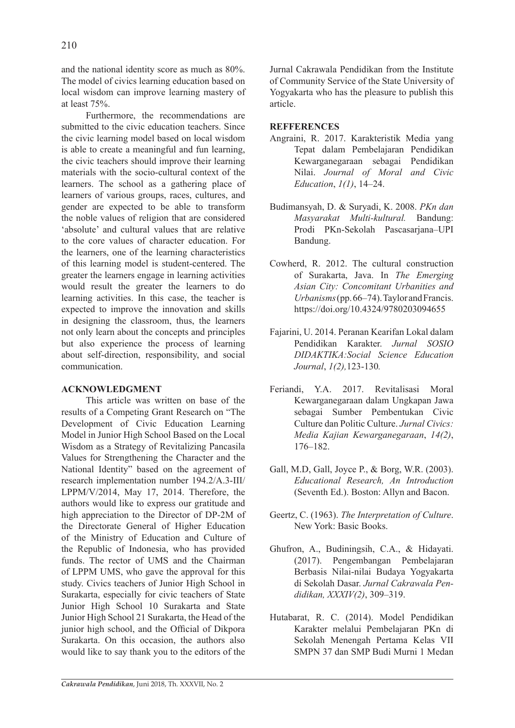and the national identity score as much as 80%. The model of civics learning education based on local wisdom can improve learning mastery of at least 75%.

Furthermore, the recommendations are submitted to the civic education teachers. Since the civic learning model based on local wisdom is able to create a meaningful and fun learning, the civic teachers should improve their learning materials with the socio-cultural context of the learners. The school as a gathering place of learners of various groups, races, cultures, and gender are expected to be able to transform the noble values of religion that are considered 'absolute' and cultural values that are relative to the core values of character education. For the learners, one of the learning characteristics of this learning model is student-centered. The greater the learners engage in learning activities would result the greater the learners to do learning activities. In this case, the teacher is expected to improve the innovation and skills in designing the classroom, thus, the learners not only learn about the concepts and principles but also experience the process of learning about self-direction, responsibility, and social communication.

### **ACKNOWLEDGMENT**

This article was written on base of the results of a Competing Grant Research on "The Development of Civic Education Learning Model in Junior High School Based on the Local Wisdom as a Strategy of Revitalizing Pancasila Values for Strengthening the Character and the National Identity" based on the agreement of research implementation number 194.2/A.3-III/ LPPM/V/2014, May 17, 2014. Therefore, the authors would like to express our gratitude and high appreciation to the Director of DP-2M of the Directorate General of Higher Education of the Ministry of Education and Culture of the Republic of Indonesia, who has provided funds. The rector of UMS and the Chairman of LPPM UMS, who gave the approval for this study. Civics teachers of Junior High School in Surakarta, especially for civic teachers of State Junior High School 10 Surakarta and State Junior High School 21 Surakarta, the Head of the junior high school, and the Official of Dikpora Surakarta. On this occasion, the authors also would like to say thank you to the editors of the Jurnal Cakrawala Pendidikan from the Institute of Community Service of the State University of Yogyakarta who has the pleasure to publish this article.

#### **REFFERENCES**

- Angraini, R. 2017. Karakteristik Media yang Tepat dalam Pembelajaran Pendidikan Kewarganegaraan sebagai Pendidikan Nilai. *Journal of Moral and Civic Education*, *1(1)*, 14–24.
- Budimansyah, D. & Suryadi, K. 2008. *PKn dan Masyarakat Multi-kultural.* Bandung: Prodi PKn-Sekolah Pascasarjana–UPI Bandung.
- Cowherd, R. 2012. The cultural construction of Surakarta, Java. In *The Emerging Asian City: Concomitant Urbanities and Urbanisms* (pp. 66–74). Taylor and Francis. https://doi.org/10.4324/9780203094655
- Fajarini, U. 2014. Peranan Kearifan Lokal dalam Pendidikan Karakter. *Jurnal SOSIO DIDAKTIKA:Social Science Education Journal*, *1(2),*123-130*.*
- Feriandi, Y.A. 2017. Revitalisasi Moral Kewarganegaraan dalam Ungkapan Jawa sebagai Sumber Pembentukan Civic Culture dan Politic Culture. *Jurnal Civics: Media Kajian Kewarganegaraan*, *14(2)*, 176–182.
- Gall, M.D, Gall, Joyce P., & Borg, W.R. (2003). *Educational Research, An Introduction*  (Seventh Ed.). Boston: Allyn and Bacon.
- Geertz, C. (1963). *The Interpretation of Culture*. New York: Basic Books.
- Ghufron, A., Budiningsih, C.A., & Hidayati. (2017). Pengembangan Pembelajaran Berbasis Nilai-nilai Budaya Yogyakarta di Sekolah Dasar. *Jurnal Cakrawala Pendidikan, XXXIV(2)*, 309–319.
- Hutabarat, R. C. (2014). Model Pendidikan Karakter melalui Pembelajaran PKn di Sekolah Menengah Pertama Kelas VII SMPN 37 dan SMP Budi Murni 1 Medan